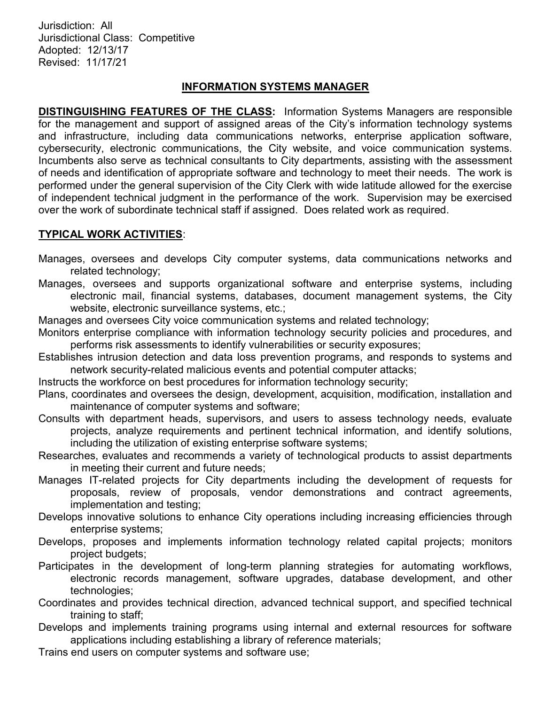Jurisdiction: All Jurisdictional Class: Competitive Adopted: 12/13/17 Revised: 11/17/21

#### INFORMATION SYSTEMS MANAGER

DISTINGUISHING FEATURES OF THE CLASS: Information Systems Managers are responsible for the management and support of assigned areas of the City's information technology systems and infrastructure, including data communications networks, enterprise application software, cybersecurity, electronic communications, the City website, and voice communication systems. Incumbents also serve as technical consultants to City departments, assisting with the assessment of needs and identification of appropriate software and technology to meet their needs. The work is performed under the general supervision of the City Clerk with wide latitude allowed for the exercise of independent technical judgment in the performance of the work. Supervision may be exercised over the work of subordinate technical staff if assigned. Does related work as required.

### TYPICAL WORK ACTIVITIES:

- Manages, oversees and develops City computer systems, data communications networks and related technology;
- Manages, oversees and supports organizational software and enterprise systems, including electronic mail, financial systems, databases, document management systems, the City website, electronic surveillance systems, etc.;
- Manages and oversees City voice communication systems and related technology;
- Monitors enterprise compliance with information technology security policies and procedures, and performs risk assessments to identify vulnerabilities or security exposures;
- Establishes intrusion detection and data loss prevention programs, and responds to systems and network security-related malicious events and potential computer attacks;
- Instructs the workforce on best procedures for information technology security;
- Plans, coordinates and oversees the design, development, acquisition, modification, installation and maintenance of computer systems and software;
- Consults with department heads, supervisors, and users to assess technology needs, evaluate projects, analyze requirements and pertinent technical information, and identify solutions, including the utilization of existing enterprise software systems;
- Researches, evaluates and recommends a variety of technological products to assist departments in meeting their current and future needs;
- Manages IT-related projects for City departments including the development of requests for proposals, review of proposals, vendor demonstrations and contract agreements, implementation and testing;
- Develops innovative solutions to enhance City operations including increasing efficiencies through enterprise systems;
- Develops, proposes and implements information technology related capital projects; monitors project budgets;
- Participates in the development of long-term planning strategies for automating workflows, electronic records management, software upgrades, database development, and other technologies;
- Coordinates and provides technical direction, advanced technical support, and specified technical training to staff;
- Develops and implements training programs using internal and external resources for software applications including establishing a library of reference materials;
- Trains end users on computer systems and software use;